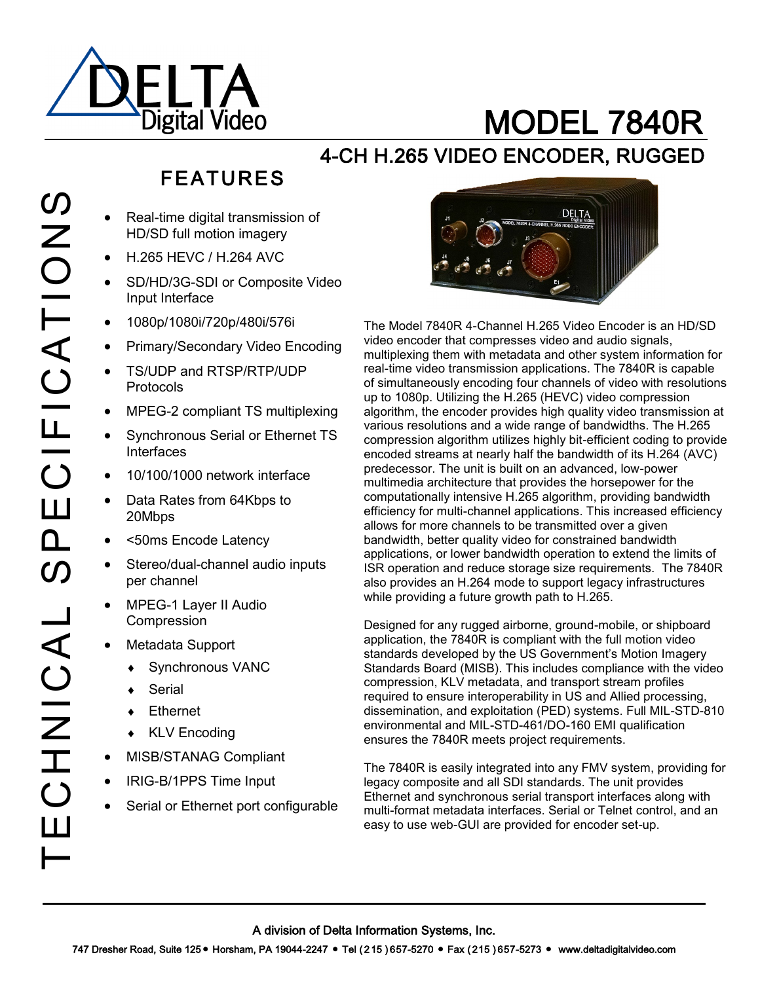

# MODEL 7840R

### 4-CH H.265 VIDEO ENCODER, RUGGED

# FEATURES

- Real-time digital transmission of HD/SD full motion imagery
- H.265 HEVC / H.264 AVC
- SD/HD/3G-SDI or Composite Video Input Interface
- 1080p/1080i/720p/480i/576i
- Primary/Secondary Video Encoding
- TS/UDP and RTSP/RTP/UDP Protocols
- MPEG-2 compliant TS multiplexing
- Synchronous Serial or Ethernet TS Interfaces
- 10/100/1000 network interface
- Data Rates from 64Kbps to 20Mbps
- <50ms Encode Latency
- Stereo/dual-channel audio inputs per channel
- MPEG-1 Layer II Audio Compression
- Metadata Support
	- Synchronous VANC
	- **Serial**
	- Ethernet
	- KLV Encoding
- MISB/STANAG Compliant
- IRIG-B/1PPS Time Input
- Serial or Ethernet port configurable



The Model 7840R 4-Channel H.265 Video Encoder is an HD/SD video encoder that compresses video and audio signals, multiplexing them with metadata and other system information for real-time video transmission applications. The 7840R is capable of simultaneously encoding four channels of video with resolutions up to 1080p. Utilizing the H.265 (HEVC) video compression algorithm, the encoder provides high quality video transmission at various resolutions and a wide range of bandwidths. The H.265 compression algorithm utilizes highly bit-efficient coding to provide encoded streams at nearly half the bandwidth of its H.264 (AVC) predecessor. The unit is built on an advanced, low-power multimedia architecture that provides the horsepower for the computationally intensive H.265 algorithm, providing bandwidth efficiency for multi-channel applications. This increased efficiency allows for more channels to be transmitted over a given bandwidth, better quality video for constrained bandwidth applications, or lower bandwidth operation to extend the limits of ISR operation and reduce storage size requirements. The 7840R also provides an H.264 mode to support legacy infrastructures while providing a future growth path to H.265.

Designed for any rugged airborne, ground-mobile, or shipboard application, the 7840R is compliant with the full motion video standards developed by the US Government's Motion Imagery Standards Board (MISB). This includes compliance with the video compression, KLV metadata, and transport stream profiles required to ensure interoperability in US and Allied processing, dissemination, and exploitation (PED) systems. Full MIL-STD-810 environmental and MIL-STD-461/DO-160 EMI qualification ensures the 7840R meets project requirements.

The 7840R is easily integrated into any FMV system, providing for legacy composite and all SDI standards. The unit provides Ethernet and synchronous serial transport interfaces along with multi-format metadata interfaces. Serial or Telnet control, and an easy to use web-GUI are provided for encoder set-up.

 $\boldsymbol{\mathcal{O}}$ 

A division of Delta Information Systems, Inc.